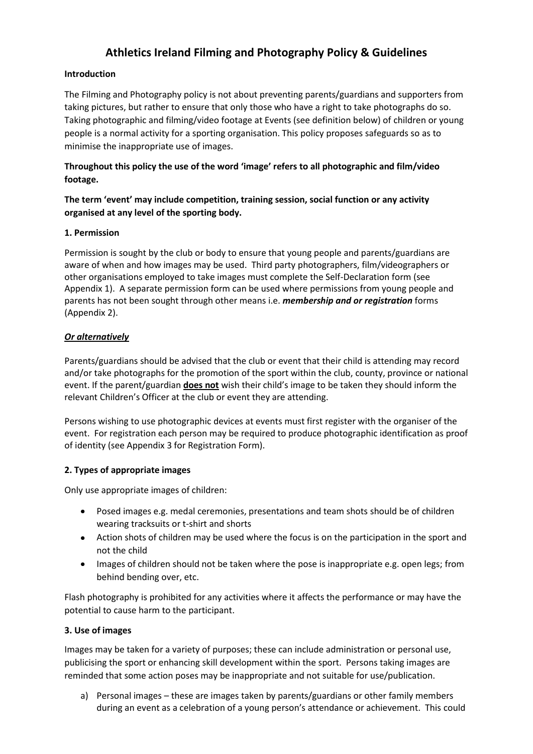# **Athletics Ireland Filming and Photography Policy & Guidelines**

## **Introduction**

The Filming and Photography policy is not about preventing parents/guardians and supporters from taking pictures, but rather to ensure that only those who have a right to take photographs do so. Taking photographic and filming/video footage at Events (see definition below) of children or young people is a normal activity for a sporting organisation. This policy proposes safeguards so as to minimise the inappropriate use of images.

## **Throughout this policy the use of the word 'image' refers to all photographic and film/video footage.**

## **The term 'event' may include competition, training session, social function or any activity organised at any level of the sporting body.**

## **1. Permission**

Permission is sought by the club or body to ensure that young people and parents/guardians are aware of when and how images may be used. Third party photographers, film/videographers or other organisations employed to take images must complete the Self-Declaration form (see Appendix 1). A separate permission form can be used where permissions from young people and parents has not been sought through other means i.e. *membership and or registration* forms (Appendix 2).

## *Or alternatively*

Parents/guardians should be advised that the club or event that their child is attending may record and/or take photographs for the promotion of the sport within the club, county, province or national event. If the parent/guardian **does not** wish their child's image to be taken they should inform the relevant Children's Officer at the club or event they are attending.

Persons wishing to use photographic devices at events must first register with the organiser of the event. For registration each person may be required to produce photographic identification as proof of identity (see Appendix 3 for Registration Form).

## **2. Types of appropriate images**

Only use appropriate images of children:

- Posed images e.g. medal ceremonies, presentations and team shots should be of children wearing tracksuits or t-shirt and shorts
- Action shots of children may be used where the focus is on the participation in the sport and not the child
- Images of children should not be taken where the pose is inappropriate e.g. open legs; from  $\bullet$ behind bending over, etc.

Flash photography is prohibited for any activities where it affects the performance or may have the potential to cause harm to the participant.

## **3. Use of images**

Images may be taken for a variety of purposes; these can include administration or personal use, publicising the sport or enhancing skill development within the sport. Persons taking images are reminded that some action poses may be inappropriate and not suitable for use/publication.

a) Personal images – these are images taken by parents/guardians or other family members during an event as a celebration of a young person's attendance or achievement. This could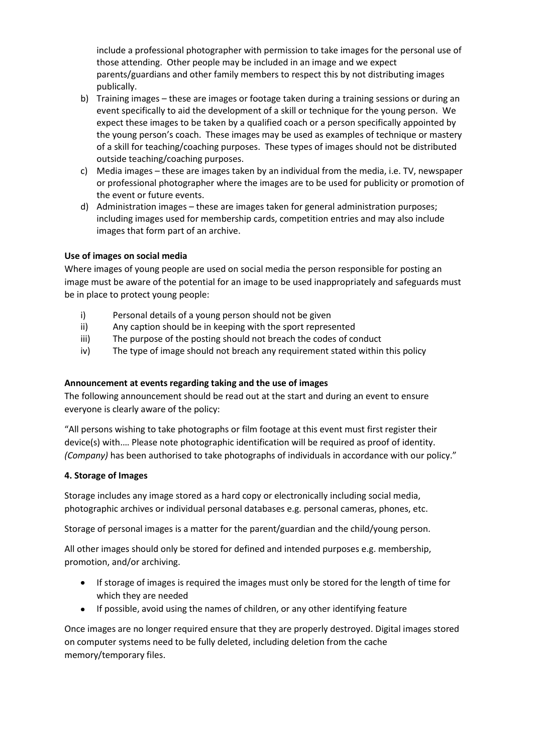include a professional photographer with permission to take images for the personal use of those attending. Other people may be included in an image and we expect parents/guardians and other family members to respect this by not distributing images publically.

- b) Training images these are images or footage taken during a training sessions or during an event specifically to aid the development of a skill or technique for the young person. We expect these images to be taken by a qualified coach or a person specifically appointed by the young person's coach. These images may be used as examples of technique or mastery of a skill for teaching/coaching purposes. These types of images should not be distributed outside teaching/coaching purposes.
- c) Media images these are images taken by an individual from the media, i.e. TV, newspaper or professional photographer where the images are to be used for publicity or promotion of the event or future events.
- d) Administration images these are images taken for general administration purposes; including images used for membership cards, competition entries and may also include images that form part of an archive.

## **Use of images on social media**

Where images of young people are used on social media the person responsible for posting an image must be aware of the potential for an image to be used inappropriately and safeguards must be in place to protect young people:

- i) Personal details of a young person should not be given
- ii) Any caption should be in keeping with the sport represented
- iii) The purpose of the posting should not breach the codes of conduct
- iv) The type of image should not breach any requirement stated within this policy

### **Announcement at events regarding taking and the use of images**

The following announcement should be read out at the start and during an event to ensure everyone is clearly aware of the policy:

"All persons wishing to take photographs or film footage at this event must first register their device(s) with.… Please note photographic identification will be required as proof of identity. *(Company)* has been authorised to take photographs of individuals in accordance with our policy."

### **4. Storage of Images**

Storage includes any image stored as a hard copy or electronically including social media, photographic archives or individual personal databases e.g. personal cameras, phones, etc.

Storage of personal images is a matter for the parent/guardian and the child/young person.

All other images should only be stored for defined and intended purposes e.g. membership, promotion, and/or archiving.

- If storage of images is required the images must only be stored for the length of time for which they are needed
- If possible, avoid using the names of children, or any other identifying feature  $\bullet$

Once images are no longer required ensure that they are properly destroyed. Digital images stored on computer systems need to be fully deleted, including deletion from the cache memory/temporary files.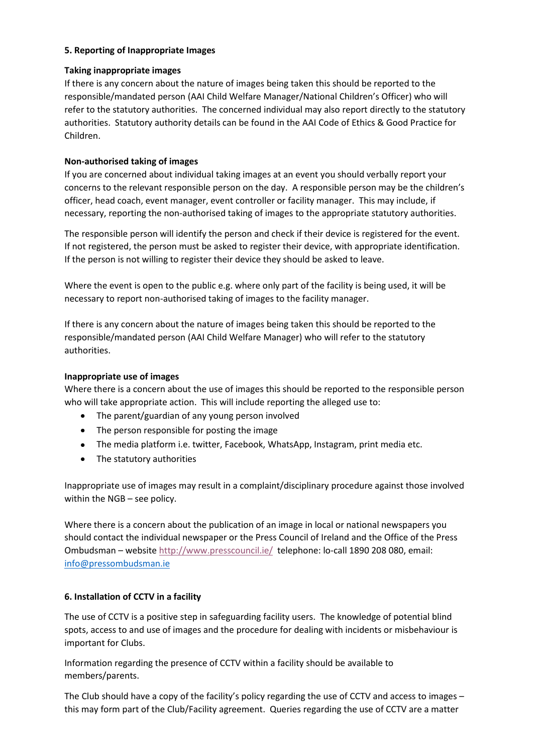## **5. Reporting of Inappropriate Images**

### **Taking inappropriate images**

If there is any concern about the nature of images being taken this should be reported to the responsible/mandated person (AAI Child Welfare Manager/National Children's Officer) who will refer to the statutory authorities. The concerned individual may also report directly to the statutory authorities. Statutory authority details can be found in the AAI Code of Ethics & Good Practice for Children.

## **Non-authorised taking of images**

If you are concerned about individual taking images at an event you should verbally report your concerns to the relevant responsible person on the day. A responsible person may be the children's officer, head coach, event manager, event controller or facility manager. This may include, if necessary, reporting the non-authorised taking of images to the appropriate statutory authorities.

The responsible person will identify the person and check if their device is registered for the event. If not registered, the person must be asked to register their device, with appropriate identification. If the person is not willing to register their device they should be asked to leave.

Where the event is open to the public e.g. where only part of the facility is being used, it will be necessary to report non-authorised taking of images to the facility manager.

If there is any concern about the nature of images being taken this should be reported to the responsible/mandated person (AAI Child Welfare Manager) who will refer to the statutory authorities.

### **Inappropriate use of images**

Where there is a concern about the use of images this should be reported to the responsible person who will take appropriate action. This will include reporting the alleged use to:

- The parent/guardian of any young person involved
- The person responsible for posting the image
- The media platform i.e. twitter, Facebook, WhatsApp, Instagram, print media etc.
- The statutory authorities

Inappropriate use of images may result in a complaint/disciplinary procedure against those involved within the NGB – see policy.

Where there is a concern about the publication of an image in local or national newspapers you should contact the individual newspaper or the Press Council of Ireland and the Office of the Press Ombudsman – websit[e http://www.presscouncil.ie/](http://www.presscouncil.ie/) telephone: lo-call 1890 208 080, email: [info@pressombudsman.ie](mailto:info@pressombudsman.ie)

### **6. Installation of CCTV in a facility**

The use of CCTV is a positive step in safeguarding facility users. The knowledge of potential blind spots, access to and use of images and the procedure for dealing with incidents or misbehaviour is important for Clubs.

Information regarding the presence of CCTV within a facility should be available to members/parents.

The Club should have a copy of the facility's policy regarding the use of CCTV and access to images – this may form part of the Club/Facility agreement. Queries regarding the use of CCTV are a matter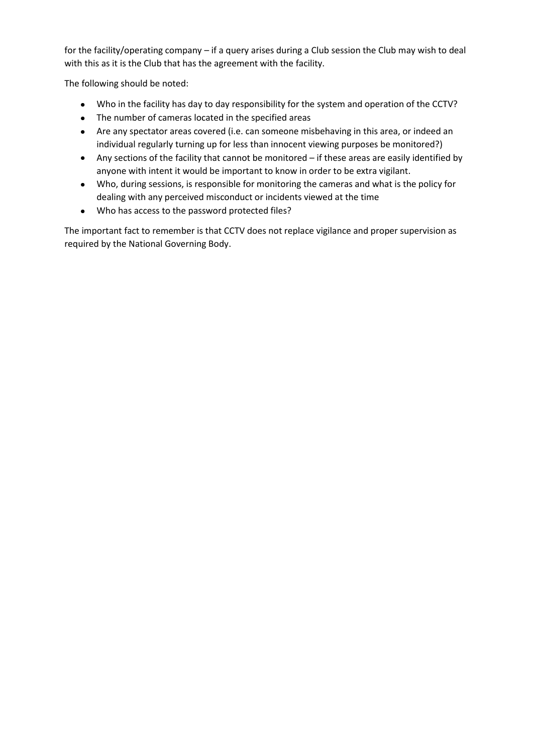for the facility/operating company – if a query arises during a Club session the Club may wish to deal with this as it is the Club that has the agreement with the facility.

The following should be noted:

- Who in the facility has day to day responsibility for the system and operation of the CCTV?
- The number of cameras located in the specified areas
- Are any spectator areas covered (i.e. can someone misbehaving in this area, or indeed an individual regularly turning up for less than innocent viewing purposes be monitored?)
- Any sections of the facility that cannot be monitored if these areas are easily identified by anyone with intent it would be important to know in order to be extra vigilant.
- Who, during sessions, is responsible for monitoring the cameras and what is the policy for dealing with any perceived misconduct or incidents viewed at the time
- Who has access to the password protected files?

The important fact to remember is that CCTV does not replace vigilance and proper supervision as required by the National Governing Body.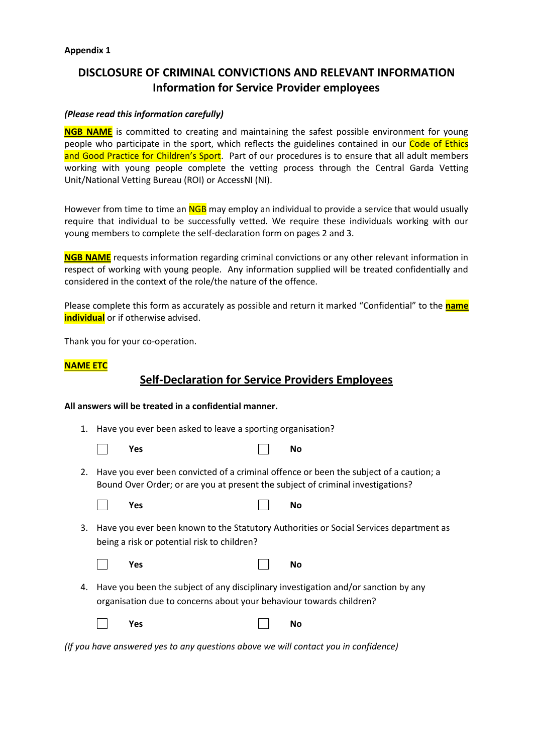#### **Appendix 1**

# **DISCLOSURE OF CRIMINAL CONVICTIONS AND RELEVANT INFORMATION Information for Service Provider employees**

## *(Please read this information carefully)*

**NGB NAME** is committed to creating and maintaining the safest possible environment for young people who participate in the sport, which reflects the guidelines contained in our Code of Ethics and Good Practice for Children's Sport. Part of our procedures is to ensure that all adult members working with young people complete the vetting process through the Central Garda Vetting Unit/National Vetting Bureau (ROI) or AccessNI (NI).

However from time to time an NGB may employ an individual to provide a service that would usually require that individual to be successfully vetted. We require these individuals working with our young members to complete the self-declaration form on pages 2 and 3.

**NGB NAME** requests information regarding criminal convictions or any other relevant information in respect of working with young people. Any information supplied will be treated confidentially and considered in the context of the role/the nature of the offence.

Please complete this form as accurately as possible and return it marked "Confidential" to the **name individual** or if otherwise advised.

Thank you for your co-operation.

#### **NAME ETC**

# **Self-Declaration for Service Providers Employees**

#### **All answers will be treated in a confidential manner.**

1. Have you ever been asked to leave a sporting organisation?

| Yes |  | <b>No</b> |
|-----|--|-----------|
|-----|--|-----------|

2. Have you ever been convicted of a criminal offence or been the subject of a caution; a Bound Over Order; or are you at present the subject of criminal investigations?

| $\overline{\phantom{a}}$ | Yes |  | <b>No</b> |
|--------------------------|-----|--|-----------|
|--------------------------|-----|--|-----------|

3. Have you ever been known to the Statutory Authorities or Social Services department as being a risk or potential risk to children?

|  | Yes |  | No |
|--|-----|--|----|
|--|-----|--|----|

4. Have you been the subject of any disciplinary investigation and/or sanction by any organisation due to concerns about your behaviour towards children?

|  | Yes |  | $\begin{array}{ c c c }\n\hline\n\end{array}$ No |
|--|-----|--|--------------------------------------------------|
|--|-----|--|--------------------------------------------------|

*(If you have answered yes to any questions above we will contact you in confidence)*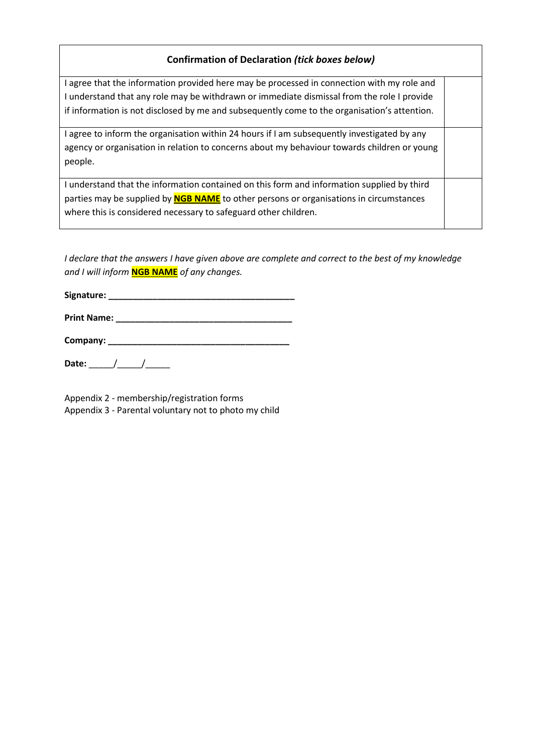## **Confirmation of Declaration** *(tick boxes below)*

I agree that the information provided here may be processed in connection with my role and I understand that any role may be withdrawn or immediate dismissal from the role I provide if information is not disclosed by me and subsequently come to the organisation's attention.

I agree to inform the organisation within 24 hours if I am subsequently investigated by any agency or organisation in relation to concerns about my behaviour towards children or young people.

I understand that the information contained on this form and information supplied by third parties may be supplied by **NGB NAME** to other persons or organisations in circumstances where this is considered necessary to safeguard other children.

*I declare that the answers I have given above are complete and correct to the best of my knowledge and I will inform* **NGB NAME** *of any changes.*

**Signature: \_\_\_\_\_\_\_\_\_\_\_\_\_\_\_\_\_\_\_\_\_\_\_\_\_\_\_\_\_\_\_\_\_\_\_\_\_\_**

**Print Name: \_\_\_\_\_\_\_\_\_\_\_\_\_\_\_\_\_\_\_\_\_\_\_\_\_\_\_\_\_\_\_\_\_\_\_\_** 

**Company:** *Company: Company: Company: Company: <i>Company: Company: <i>Company: Company: <i>Company: Company: <i>Company: Company: <i>Company: Company: Company: <i>Company: Company:* 

Date: \_\_\_\_\_/\_\_\_\_\_/\_\_\_\_\_

Appendix 2 - membership/registration forms Appendix 3 - Parental voluntary not to photo my child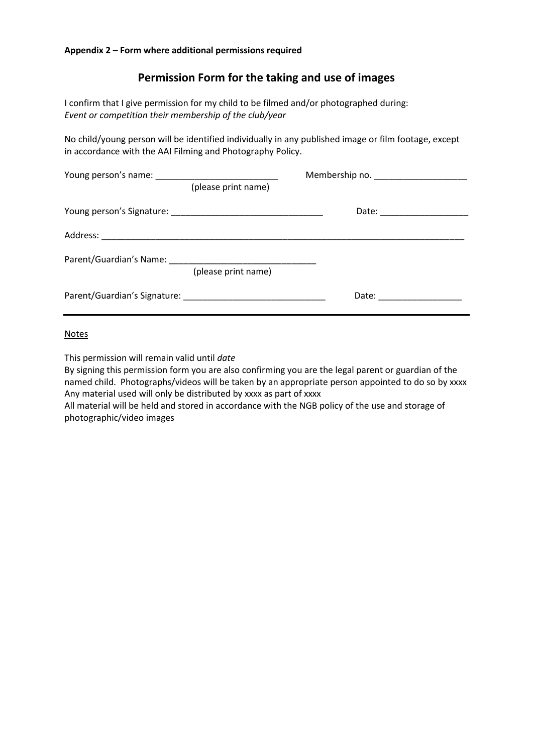# **Permission Form for the taking and use of images**

I confirm that I give permission for my child to be filmed and/or photographed during: *Event or competition their membership of the club/year*

No child/young person will be identified individually in any published image or film footage, except in accordance with the AAI Filming and Photography Policy.

|  | (please print name) |                       |  |
|--|---------------------|-----------------------|--|
|  |                     |                       |  |
|  |                     |                       |  |
|  | (please print name) |                       |  |
|  |                     | Date: _______________ |  |

#### Notes

This permission will remain valid until *date*

By signing this permission form you are also confirming you are the legal parent or guardian of the named child. Photographs/videos will be taken by an appropriate person appointed to do so by xxxx Any material used will only be distributed by xxxx as part of xxxx

All material will be held and stored in accordance with the NGB policy of the use and storage of photographic/video images